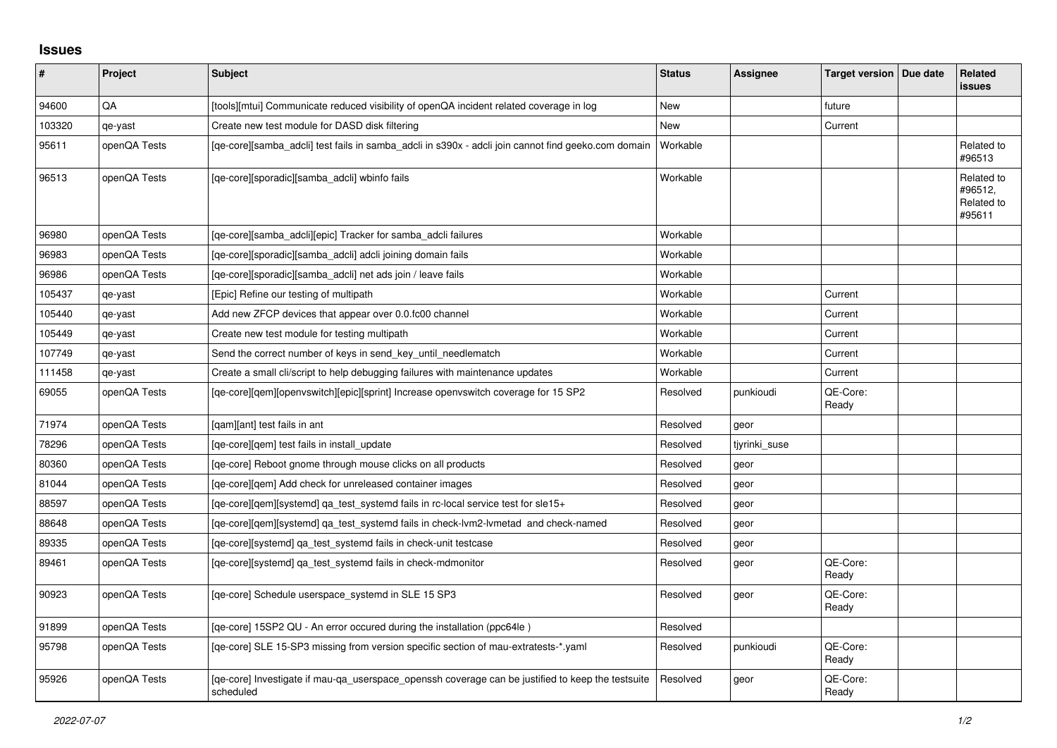## **Issues**

| #      | Project      | Subject                                                                                                        | <b>Status</b> | <b>Assignee</b> | Target version   Due date | Related<br><b>issues</b>                      |
|--------|--------------|----------------------------------------------------------------------------------------------------------------|---------------|-----------------|---------------------------|-----------------------------------------------|
| 94600  | QA           | [tools][mtui] Communicate reduced visibility of openQA incident related coverage in log                        | New           |                 | future                    |                                               |
| 103320 | qe-yast      | Create new test module for DASD disk filtering                                                                 | <b>New</b>    |                 | Current                   |                                               |
| 95611  | openQA Tests | [ge-core][samba adcli] test fails in samba adcli in s390x - adcli join cannot find geeko.com domain            | Workable      |                 |                           | Related to<br>#96513                          |
| 96513  | openQA Tests | [qe-core][sporadic][samba_adcli] wbinfo fails                                                                  | Workable      |                 |                           | Related to<br>#96512,<br>Related to<br>#95611 |
| 96980  | openQA Tests | [qe-core][samba_adcli][epic] Tracker for samba_adcli failures                                                  | Workable      |                 |                           |                                               |
| 96983  | openQA Tests | [qe-core][sporadic][samba_adcli] adcli joining domain fails                                                    | Workable      |                 |                           |                                               |
| 96986  | openQA Tests | [ge-core][sporadic][samba adcli] net ads join / leave fails                                                    | Workable      |                 |                           |                                               |
| 105437 | qe-yast      | [Epic] Refine our testing of multipath                                                                         | Workable      |                 | Current                   |                                               |
| 105440 | qe-yast      | Add new ZFCP devices that appear over 0.0.fc00 channel                                                         | Workable      |                 | Current                   |                                               |
| 105449 | qe-yast      | Create new test module for testing multipath                                                                   | Workable      |                 | Current                   |                                               |
| 107749 | qe-yast      | Send the correct number of keys in send_key_until_needlematch                                                  | Workable      |                 | Current                   |                                               |
| 111458 | qe-yast      | Create a small cli/script to help debugging failures with maintenance updates                                  | Workable      |                 | Current                   |                                               |
| 69055  | openQA Tests | [qe-core][qem][openvswitch][epic][sprint] Increase openvswitch coverage for 15 SP2                             | Resolved      | punkioudi       | QE-Core:<br>Ready         |                                               |
| 71974  | openQA Tests | [qam][ant] test fails in ant                                                                                   | Resolved      | geor            |                           |                                               |
| 78296  | openQA Tests | [ge-core][gem] test fails in install update                                                                    | Resolved      | tiyrinki suse   |                           |                                               |
| 80360  | openQA Tests | [ge-core] Reboot gnome through mouse clicks on all products                                                    | Resolved      | geor            |                           |                                               |
| 81044  | openQA Tests | [qe-core][qem] Add check for unreleased container images                                                       | Resolved      | geor            |                           |                                               |
| 88597  | openQA Tests | [qe-core][qem][systemd] qa_test_systemd fails in rc-local service test for sle15+                              | Resolved      | geor            |                           |                                               |
| 88648  | openQA Tests | [qe-core][qem][systemd] qa_test_systemd fails in check-lvm2-lvmetad and check-named                            | Resolved      | geor            |                           |                                               |
| 89335  | openQA Tests | [ge-core][systemd] ga test systemd fails in check-unit testcase                                                | Resolved      | geor            |                           |                                               |
| 89461  | openQA Tests | [qe-core][systemd] qa_test_systemd fails in check-mdmonitor                                                    | Resolved      | geor            | QE-Core:<br>Ready         |                                               |
| 90923  | openQA Tests | [qe-core] Schedule userspace_systemd in SLE 15 SP3                                                             | Resolved      | geor            | QE-Core:<br>Ready         |                                               |
| 91899  | openQA Tests | [qe-core] 15SP2 QU - An error occured during the installation (ppc64le)                                        | Resolved      |                 |                           |                                               |
| 95798  | openQA Tests | [qe-core] SLE 15-SP3 missing from version specific section of mau-extratests-*.yaml                            | Resolved      | punkioudi       | QE-Core:<br>Ready         |                                               |
| 95926  | openQA Tests | [ge-core] Investigate if mau-ga userspace openssh coverage can be justified to keep the testsuite<br>scheduled | Resolved      | geor            | QE-Core:<br>Ready         |                                               |